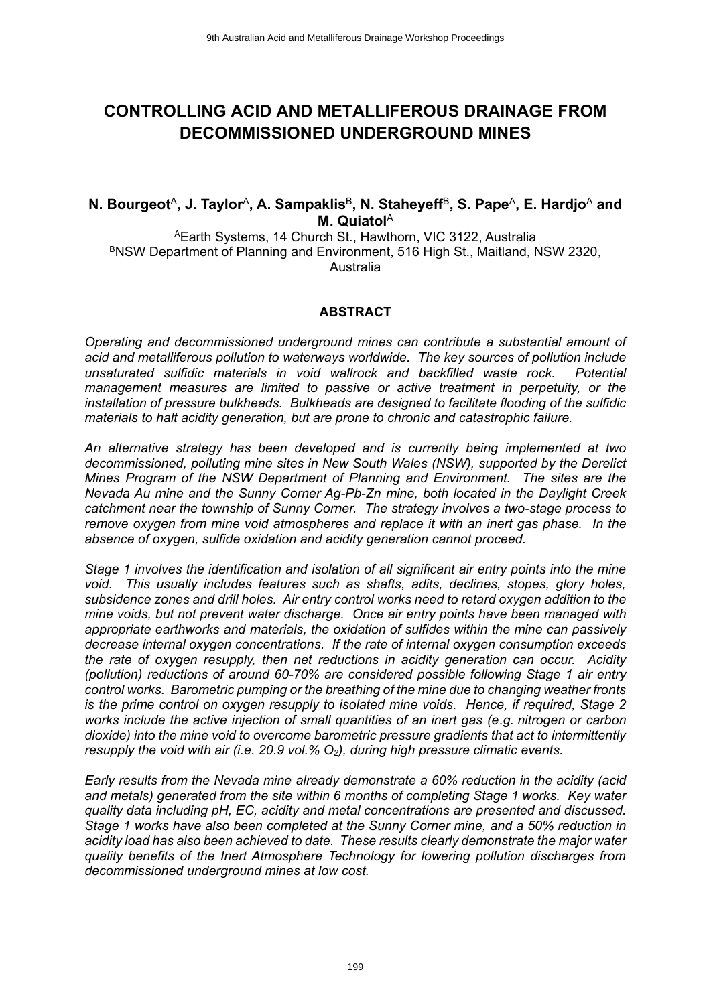# **CONTROLLING ACID AND METALLIFEROUS DRAINAGE FROM DECOMMISSIONED UNDERGROUND MINES**

## **N. Bourgeot** $^\mathsf{A}$ **, J. Taylor** $^\mathsf{A}$ **, A. Sampaklis** $^\mathsf{B}$ **, N. Staheyeff** $^\mathsf{B}$ **, S. Pape** $^\mathsf{A}$ **, E. Hardjo** $^\mathsf{A}$  **and M. Quiatol**<sup>A</sup>

<sup>A</sup>Earth Systems, 14 Church St., Hawthorn, VIC 3122, Australia BNSW Department of Planning and Environment, 516 High St., Maitland, NSW 2320, Australia

#### **ABSTRACT**

*Operating and decommissioned underground mines can contribute a substantial amount of acid and metalliferous pollution to waterways worldwide. The key sources of pollution include unsaturated sulfidic materials in void wallrock and backfilled waste rock. Potential management measures are limited to passive or active treatment in perpetuity, or the installation of pressure bulkheads. Bulkheads are designed to facilitate flooding of the sulfidic materials to halt acidity generation, but are prone to chronic and catastrophic failure.*

*An alternative strategy has been developed and is currently being implemented at two decommissioned, polluting mine sites in New South Wales (NSW), supported by the Derelict Mines Program of the NSW Department of Planning and Environment. The sites are the Nevada Au mine and the Sunny Corner Ag-Pb-Zn mine, both located in the Daylight Creek catchment near the township of Sunny Corner. The strategy involves a two-stage process to remove oxygen from mine void atmospheres and replace it with an inert gas phase. In the absence of oxygen, sulfide oxidation and acidity generation cannot proceed.*

*Stage 1 involves the identification and isolation of all significant air entry points into the mine void. This usually includes features such as shafts, adits, declines, stopes, glory holes, subsidence zones and drill holes. Air entry control works need to retard oxygen addition to the mine voids, but not prevent water discharge. Once air entry points have been managed with appropriate earthworks and materials, the oxidation of sulfides within the mine can passively decrease internal oxygen concentrations. If the rate of internal oxygen consumption exceeds the rate of oxygen resupply, then net reductions in acidity generation can occur. Acidity (pollution) reductions of around 60-70% are considered possible following Stage 1 air entry control works. Barometric pumping or the breathing of the mine due to changing weather fronts is the prime control on oxygen resupply to isolated mine voids. Hence, if required, Stage 2 works include the active injection of small quantities of an inert gas (e.g. nitrogen or carbon dioxide) into the mine void to overcome barometric pressure gradients that act to intermittently resupply the void with air (i.e. 20.9 vol.% O2), during high pressure climatic events.* 

*Early results from the Nevada mine already demonstrate a 60% reduction in the acidity (acid and metals) generated from the site within 6 months of completing Stage 1 works. Key water quality data including pH, EC, acidity and metal concentrations are presented and discussed. Stage 1 works have also been completed at the Sunny Corner mine, and a 50% reduction in acidity load has also been achieved to date. These results clearly demonstrate the major water quality benefits of the Inert Atmosphere Technology for lowering pollution discharges from decommissioned underground mines at low cost.*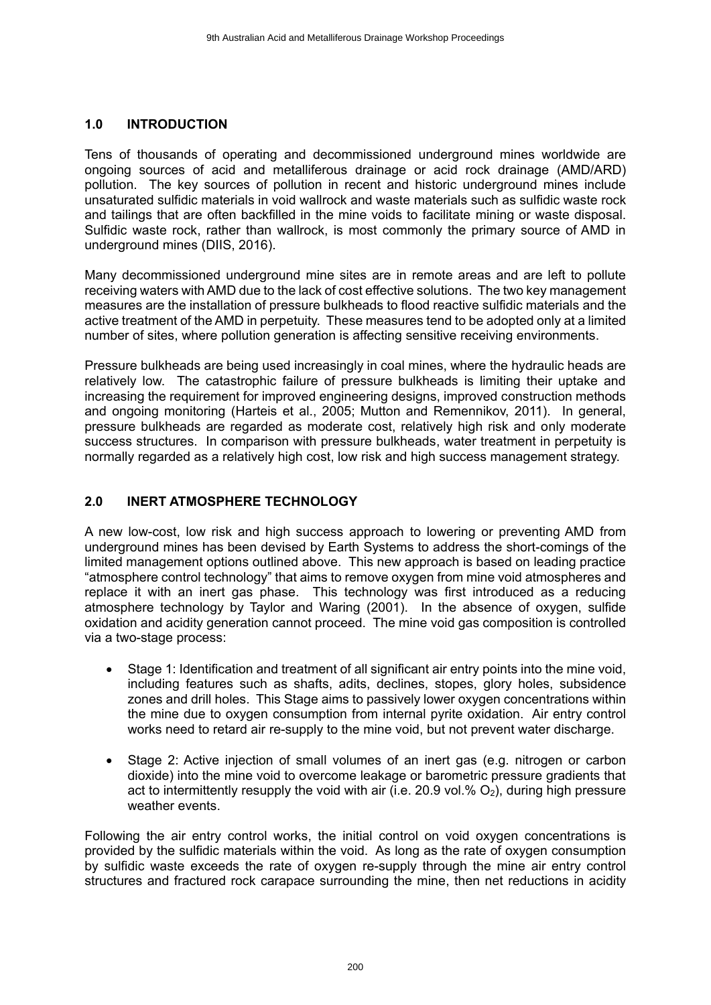### **1.0 INTRODUCTION**

Tens of thousands of operating and decommissioned underground mines worldwide are ongoing sources of acid and metalliferous drainage or acid rock drainage (AMD/ARD) pollution. The key sources of pollution in recent and historic underground mines include unsaturated sulfidic materials in void wallrock and waste materials such as sulfidic waste rock and tailings that are often backfilled in the mine voids to facilitate mining or waste disposal. Sulfidic waste rock, rather than wallrock, is most commonly the primary source of AMD in underground mines (DIIS, 2016).

Many decommissioned underground mine sites are in remote areas and are left to pollute receiving waters with AMD due to the lack of cost effective solutions. The two key management measures are the installation of pressure bulkheads to flood reactive sulfidic materials and the active treatment of the AMD in perpetuity. These measures tend to be adopted only at a limited number of sites, where pollution generation is affecting sensitive receiving environments.

Pressure bulkheads are being used increasingly in coal mines, where the hydraulic heads are relatively low. The catastrophic failure of pressure bulkheads is limiting their uptake and increasing the requirement for improved engineering designs, improved construction methods and ongoing monitoring (Harteis et al., 2005; Mutton and Remennikov, 2011). In general, pressure bulkheads are regarded as moderate cost, relatively high risk and only moderate success structures. In comparison with pressure bulkheads, water treatment in perpetuity is normally regarded as a relatively high cost, low risk and high success management strategy.

## **2.0 INERT ATMOSPHERE TECHNOLOGY**

A new low-cost, low risk and high success approach to lowering or preventing AMD from underground mines has been devised by Earth Systems to address the short-comings of the limited management options outlined above. This new approach is based on leading practice "atmosphere control technology" that aims to remove oxygen from mine void atmospheres and replace it with an inert gas phase. This technology was first introduced as a reducing atmosphere technology by Taylor and Waring (2001). In the absence of oxygen, sulfide oxidation and acidity generation cannot proceed. The mine void gas composition is controlled via a two-stage process:

- Stage 1: Identification and treatment of all significant air entry points into the mine void, including features such as shafts, adits, declines, stopes, glory holes, subsidence zones and drill holes. This Stage aims to passively lower oxygen concentrations within the mine due to oxygen consumption from internal pyrite oxidation. Air entry control works need to retard air re-supply to the mine void, but not prevent water discharge.
- Stage 2: Active injection of small volumes of an inert gas (e.g. nitrogen or carbon dioxide) into the mine void to overcome leakage or barometric pressure gradients that act to intermittently resupply the void with air  $(i.e. 20.9$  vol.%  $O<sub>2</sub>$ ), during high pressure weather events.

Following the air entry control works, the initial control on void oxygen concentrations is provided by the sulfidic materials within the void. As long as the rate of oxygen consumption by sulfidic waste exceeds the rate of oxygen re-supply through the mine air entry control structures and fractured rock carapace surrounding the mine, then net reductions in acidity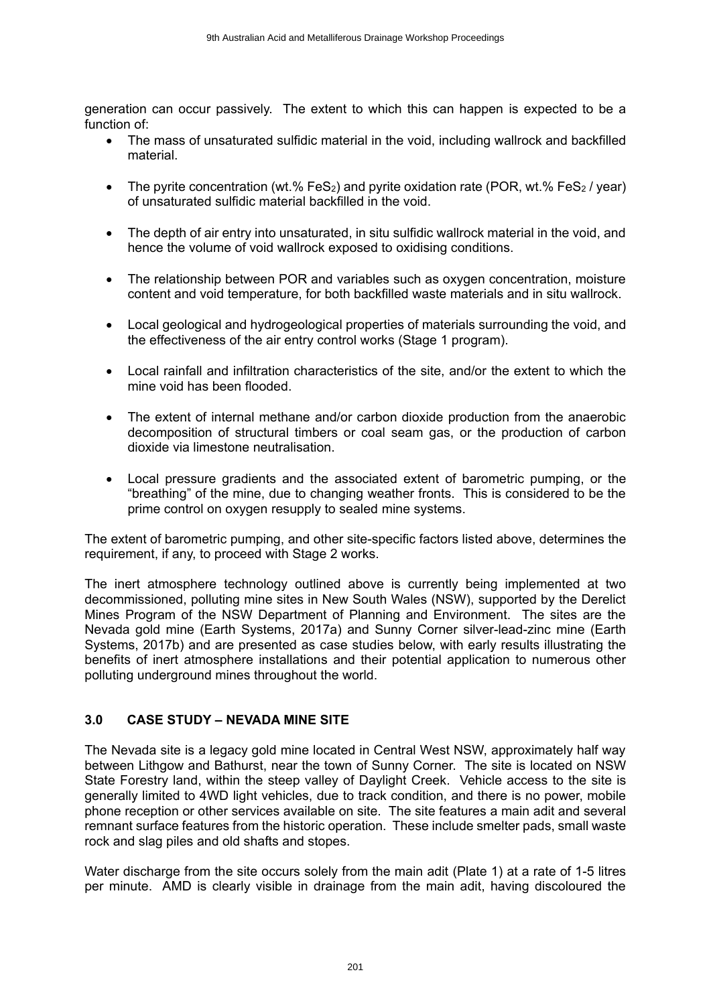generation can occur passively. The extent to which this can happen is expected to be a function of:

- The mass of unsaturated sulfidic material in the void, including wallrock and backfilled material.
- The pyrite concentration (wt.% FeS<sub>2</sub>) and pyrite oxidation rate (POR, wt.% FeS<sub>2</sub> / year) of unsaturated sulfidic material backfilled in the void.
- The depth of air entry into unsaturated, in situ sulfidic wallrock material in the void, and hence the volume of void wallrock exposed to oxidising conditions.
- The relationship between POR and variables such as oxygen concentration, moisture content and void temperature, for both backfilled waste materials and in situ wallrock.
- Local geological and hydrogeological properties of materials surrounding the void, and the effectiveness of the air entry control works (Stage 1 program).
- Local rainfall and infiltration characteristics of the site, and/or the extent to which the mine void has been flooded.
- The extent of internal methane and/or carbon dioxide production from the anaerobic decomposition of structural timbers or coal seam gas, or the production of carbon dioxide via limestone neutralisation.
- Local pressure gradients and the associated extent of barometric pumping, or the "breathing" of the mine, due to changing weather fronts. This is considered to be the prime control on oxygen resupply to sealed mine systems.

The extent of barometric pumping, and other site-specific factors listed above, determines the requirement, if any, to proceed with Stage 2 works.

The inert atmosphere technology outlined above is currently being implemented at two decommissioned, polluting mine sites in New South Wales (NSW), supported by the Derelict Mines Program of the NSW Department of Planning and Environment. The sites are the Nevada gold mine (Earth Systems, 2017a) and Sunny Corner silver-lead-zinc mine (Earth Systems, 2017b) and are presented as case studies below, with early results illustrating the benefits of inert atmosphere installations and their potential application to numerous other polluting underground mines throughout the world.

#### **3.0 CASE STUDY – NEVADA MINE SITE**

The Nevada site is a legacy gold mine located in Central West NSW, approximately half way between Lithgow and Bathurst, near the town of Sunny Corner. The site is located on NSW State Forestry land, within the steep valley of Daylight Creek. Vehicle access to the site is generally limited to 4WD light vehicles, due to track condition, and there is no power, mobile phone reception or other services available on site. The site features a main adit and several remnant surface features from the historic operation. These include smelter pads, small waste rock and slag piles and old shafts and stopes.

Water discharge from the site occurs solely from the main adit (Plate 1) at a rate of 1-5 litres per minute. AMD is clearly visible in drainage from the main adit, having discoloured the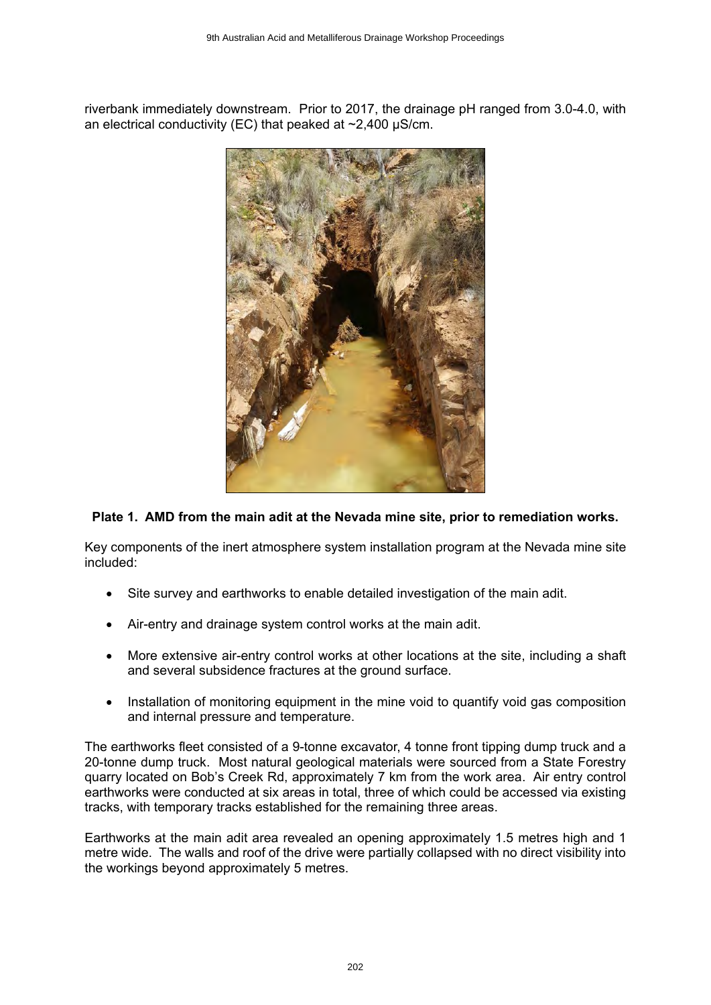riverbank immediately downstream. Prior to 2017, the drainage pH ranged from 3.0-4.0, with an electrical conductivity (EC) that peaked at  $\sim$ 2,400  $\mu$ S/cm.



### **Plate 1. AMD from the main adit at the Nevada mine site, prior to remediation works.**

Key components of the inert atmosphere system installation program at the Nevada mine site included:

- Site survey and earthworks to enable detailed investigation of the main adit.
- Air-entry and drainage system control works at the main adit.
- More extensive air-entry control works at other locations at the site, including a shaft and several subsidence fractures at the ground surface.
- Installation of monitoring equipment in the mine void to quantify void gas composition and internal pressure and temperature.

The earthworks fleet consisted of a 9-tonne excavator, 4 tonne front tipping dump truck and a 20-tonne dump truck. Most natural geological materials were sourced from a State Forestry quarry located on Bob's Creek Rd, approximately 7 km from the work area. Air entry control earthworks were conducted at six areas in total, three of which could be accessed via existing tracks, with temporary tracks established for the remaining three areas.

Earthworks at the main adit area revealed an opening approximately 1.5 metres high and 1 metre wide. The walls and roof of the drive were partially collapsed with no direct visibility into the workings beyond approximately 5 metres.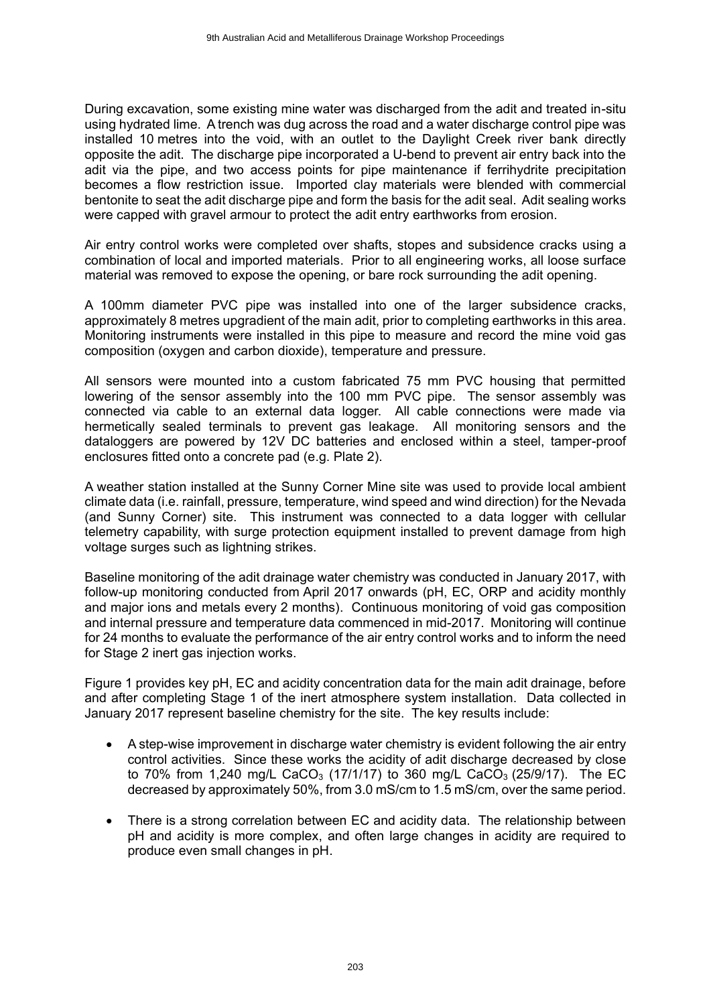During excavation, some existing mine water was discharged from the adit and treated in-situ using hydrated lime. A trench was dug across the road and a water discharge control pipe was installed 10 metres into the void, with an outlet to the Daylight Creek river bank directly opposite the adit. The discharge pipe incorporated a U-bend to prevent air entry back into the adit via the pipe, and two access points for pipe maintenance if ferrihydrite precipitation becomes a flow restriction issue. Imported clay materials were blended with commercial bentonite to seat the adit discharge pipe and form the basis for the adit seal. Adit sealing works were capped with gravel armour to protect the adit entry earthworks from erosion.

Air entry control works were completed over shafts, stopes and subsidence cracks using a combination of local and imported materials. Prior to all engineering works, all loose surface material was removed to expose the opening, or bare rock surrounding the adit opening.

A 100mm diameter PVC pipe was installed into one of the larger subsidence cracks, approximately 8 metres upgradient of the main adit, prior to completing earthworks in this area. Monitoring instruments were installed in this pipe to measure and record the mine void gas composition (oxygen and carbon dioxide), temperature and pressure.

All sensors were mounted into a custom fabricated 75 mm PVC housing that permitted lowering of the sensor assembly into the 100 mm PVC pipe. The sensor assembly was connected via cable to an external data logger. All cable connections were made via hermetically sealed terminals to prevent gas leakage. All monitoring sensors and the dataloggers are powered by 12V DC batteries and enclosed within a steel, tamper-proof enclosures fitted onto a concrete pad (e.g. Plate 2).

A weather station installed at the Sunny Corner Mine site was used to provide local ambient climate data (i.e. rainfall, pressure, temperature, wind speed and wind direction) for the Nevada (and Sunny Corner) site. This instrument was connected to a data logger with cellular telemetry capability, with surge protection equipment installed to prevent damage from high voltage surges such as lightning strikes.

Baseline monitoring of the adit drainage water chemistry was conducted in January 2017, with follow-up monitoring conducted from April 2017 onwards (pH, EC, ORP and acidity monthly and major ions and metals every 2 months). Continuous monitoring of void gas composition and internal pressure and temperature data commenced in mid-2017. Monitoring will continue for 24 months to evaluate the performance of the air entry control works and to inform the need for Stage 2 inert gas injection works.

Figure 1 provides key pH, EC and acidity concentration data for the main adit drainage, before and after completing Stage 1 of the inert atmosphere system installation. Data collected in January 2017 represent baseline chemistry for the site. The key results include:

- A step-wise improvement in discharge water chemistry is evident following the air entry control activities. Since these works the acidity of adit discharge decreased by close to 70% from 1,240 mg/L CaCO<sub>3</sub> (17/1/17) to 360 mg/L CaCO<sub>3</sub> (25/9/17). The EC decreased by approximately 50%, from 3.0 mS/cm to 1.5 mS/cm, over the same period.
- There is a strong correlation between EC and acidity data. The relationship between pH and acidity is more complex, and often large changes in acidity are required to produce even small changes in pH.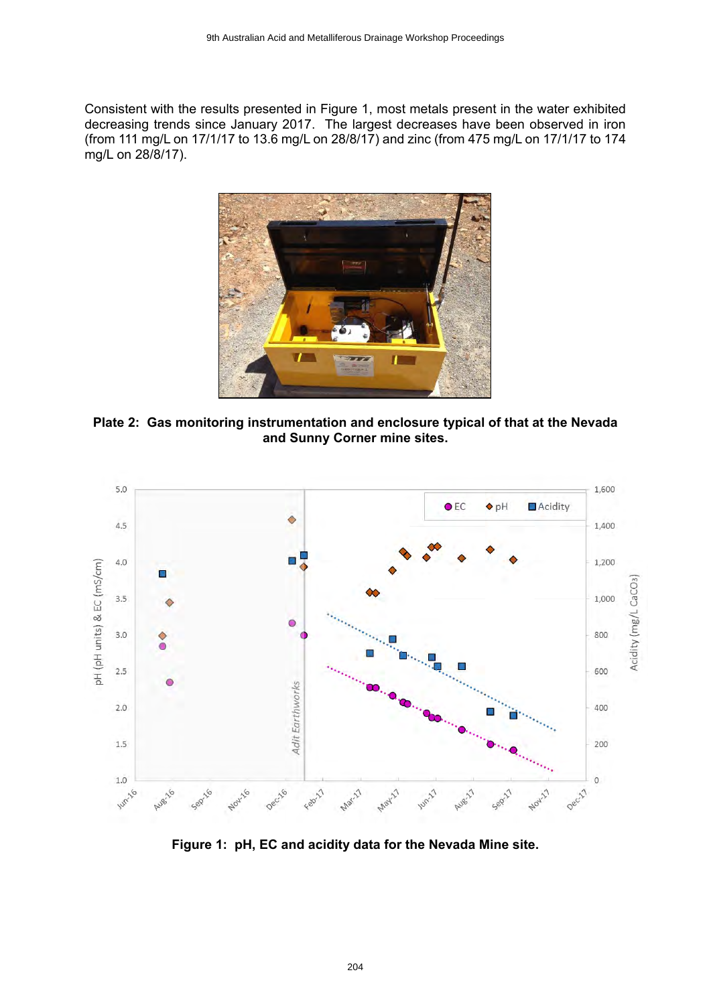Consistent with the results presented in Figure 1, most metals present in the water exhibited decreasing trends since January 2017. The largest decreases have been observed in iron (from 111 mg/L on 17/1/17 to 13.6 mg/L on 28/8/17) and zinc (from 475 mg/L on 17/1/17 to 174 mg/L on 28/8/17).



**Plate 2: Gas monitoring instrumentation and enclosure typical of that at the Nevada and Sunny Corner mine sites.**



**Figure 1: pH, EC and acidity data for the Nevada Mine site.**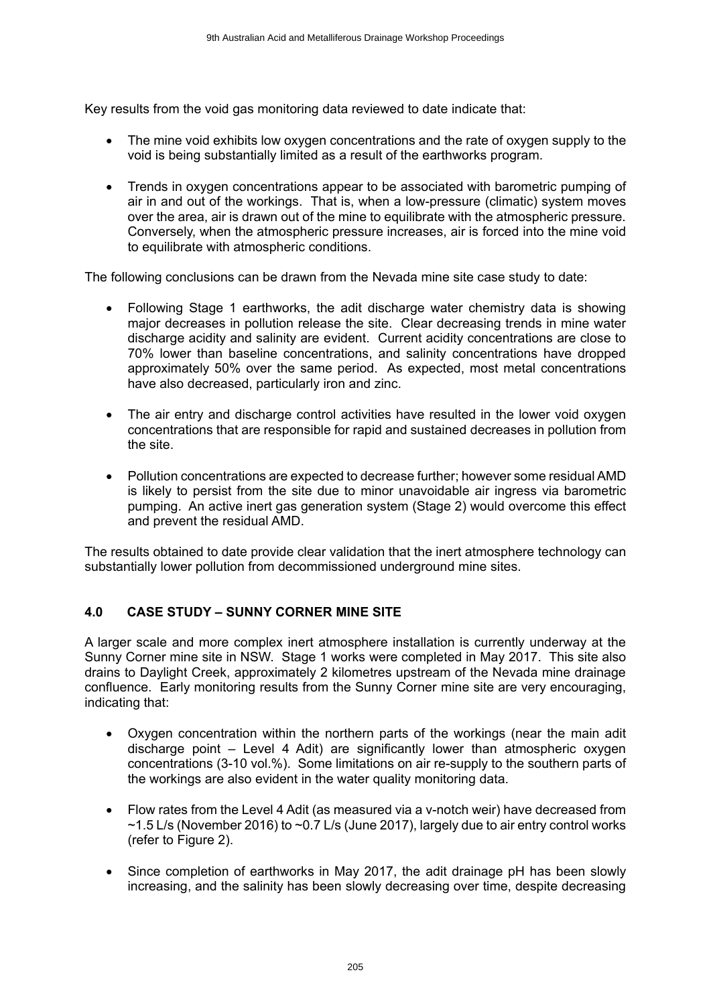Key results from the void gas monitoring data reviewed to date indicate that:

- The mine void exhibits low oxygen concentrations and the rate of oxygen supply to the void is being substantially limited as a result of the earthworks program.
- Trends in oxygen concentrations appear to be associated with barometric pumping of air in and out of the workings. That is, when a low-pressure (climatic) system moves over the area, air is drawn out of the mine to equilibrate with the atmospheric pressure. Conversely, when the atmospheric pressure increases, air is forced into the mine void to equilibrate with atmospheric conditions.

The following conclusions can be drawn from the Nevada mine site case study to date:

- Following Stage 1 earthworks, the adit discharge water chemistry data is showing major decreases in pollution release the site. Clear decreasing trends in mine water discharge acidity and salinity are evident. Current acidity concentrations are close to 70% lower than baseline concentrations, and salinity concentrations have dropped approximately 50% over the same period. As expected, most metal concentrations have also decreased, particularly iron and zinc.
- The air entry and discharge control activities have resulted in the lower void oxygen concentrations that are responsible for rapid and sustained decreases in pollution from the site.
- Pollution concentrations are expected to decrease further; however some residual AMD is likely to persist from the site due to minor unavoidable air ingress via barometric pumping. An active inert gas generation system (Stage 2) would overcome this effect and prevent the residual AMD.

The results obtained to date provide clear validation that the inert atmosphere technology can substantially lower pollution from decommissioned underground mine sites.

#### **4.0 CASE STUDY – SUNNY CORNER MINE SITE**

A larger scale and more complex inert atmosphere installation is currently underway at the Sunny Corner mine site in NSW. Stage 1 works were completed in May 2017. This site also drains to Daylight Creek, approximately 2 kilometres upstream of the Nevada mine drainage confluence. Early monitoring results from the Sunny Corner mine site are very encouraging, indicating that:

- Oxygen concentration within the northern parts of the workings (near the main adit discharge point – Level 4 Adit) are significantly lower than atmospheric oxygen concentrations (3-10 vol.%). Some limitations on air re-supply to the southern parts of the workings are also evident in the water quality monitoring data.
- Flow rates from the Level 4 Adit (as measured via a v-notch weir) have decreased from  $\sim$  1.5 L/s (November 2016) to  $\sim$  0.7 L/s (June 2017), largely due to air entry control works (refer to Figure 2).
- Since completion of earthworks in May 2017, the adit drainage pH has been slowly increasing, and the salinity has been slowly decreasing over time, despite decreasing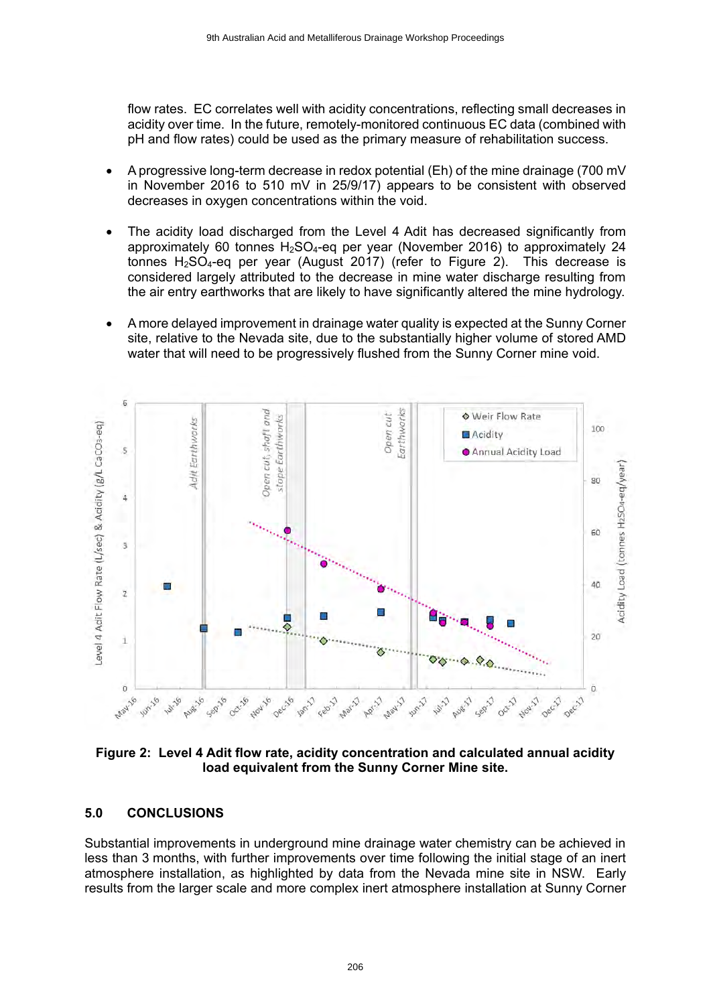flow rates. EC correlates well with acidity concentrations, reflecting small decreases in acidity over time. In the future, remotely-monitored continuous EC data (combined with pH and flow rates) could be used as the primary measure of rehabilitation success.

- A progressive long-term decrease in redox potential (Eh) of the mine drainage (700 mV in November 2016 to 510 mV in 25/9/17) appears to be consistent with observed decreases in oxygen concentrations within the void.
- The acidity load discharged from the Level 4 Adit has decreased significantly from approximately 60 tonnes  $H_2SO_4$ -eq per year (November 2016) to approximately 24 tonnes  $H<sub>2</sub>SO<sub>4</sub>$ -eq per year (August 2017) (refer to Figure 2). This decrease is considered largely attributed to the decrease in mine water discharge resulting from the air entry earthworks that are likely to have significantly altered the mine hydrology.
- A more delayed improvement in drainage water quality is expected at the Sunny Corner site, relative to the Nevada site, due to the substantially higher volume of stored AMD water that will need to be progressively flushed from the Sunny Corner mine void.



**Figure 2: Level 4 Adit flow rate, acidity concentration and calculated annual acidity load equivalent from the Sunny Corner Mine site.**

#### **5.0 CONCLUSIONS**

Substantial improvements in underground mine drainage water chemistry can be achieved in less than 3 months, with further improvements over time following the initial stage of an inert atmosphere installation, as highlighted by data from the Nevada mine site in NSW. Early results from the larger scale and more complex inert atmosphere installation at Sunny Corner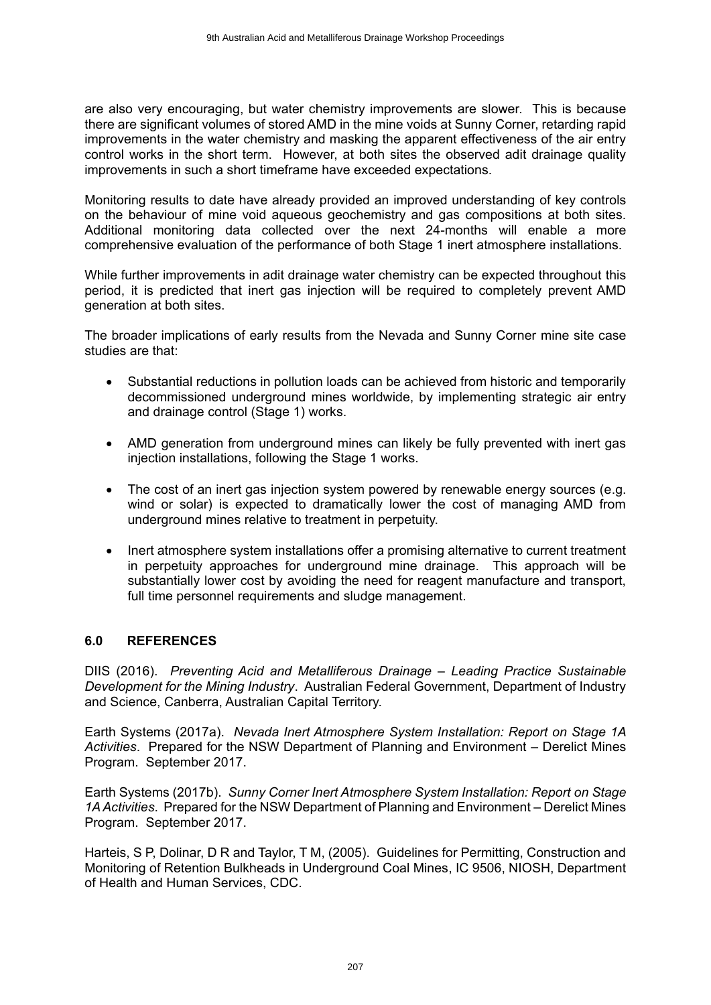are also very encouraging, but water chemistry improvements are slower. This is because there are significant volumes of stored AMD in the mine voids at Sunny Corner, retarding rapid improvements in the water chemistry and masking the apparent effectiveness of the air entry control works in the short term. However, at both sites the observed adit drainage quality improvements in such a short timeframe have exceeded expectations.

Monitoring results to date have already provided an improved understanding of key controls on the behaviour of mine void aqueous geochemistry and gas compositions at both sites. Additional monitoring data collected over the next 24-months will enable a more comprehensive evaluation of the performance of both Stage 1 inert atmosphere installations.

While further improvements in adit drainage water chemistry can be expected throughout this period, it is predicted that inert gas injection will be required to completely prevent AMD generation at both sites.

The broader implications of early results from the Nevada and Sunny Corner mine site case studies are that:

- Substantial reductions in pollution loads can be achieved from historic and temporarily decommissioned underground mines worldwide, by implementing strategic air entry and drainage control (Stage 1) works.
- AMD generation from underground mines can likely be fully prevented with inert gas injection installations, following the Stage 1 works.
- The cost of an inert gas injection system powered by renewable energy sources (e.g. wind or solar) is expected to dramatically lower the cost of managing AMD from underground mines relative to treatment in perpetuity.
- Inert atmosphere system installations offer a promising alternative to current treatment in perpetuity approaches for underground mine drainage. This approach will be substantially lower cost by avoiding the need for reagent manufacture and transport, full time personnel requirements and sludge management.

#### **6.0 REFERENCES**

DIIS (2016). *Preventing Acid and Metalliferous Drainage – Leading Practice Sustainable Development for the Mining Industry*. Australian Federal Government, Department of Industry and Science, Canberra, Australian Capital Territory.

Earth Systems (2017a). *Nevada Inert Atmosphere System Installation: Report on Stage 1A Activities*. Prepared for the NSW Department of Planning and Environment – Derelict Mines Program. September 2017.

Earth Systems (2017b). *Sunny Corner Inert Atmosphere System Installation: Report on Stage 1A Activities*. Prepared for the NSW Department of Planning and Environment – Derelict Mines Program. September 2017.

Harteis, S P, Dolinar, D R and Taylor, T M, (2005). Guidelines for Permitting, Construction and Monitoring of Retention Bulkheads in Underground Coal Mines, IC 9506, NIOSH, Department of Health and Human Services, CDC.